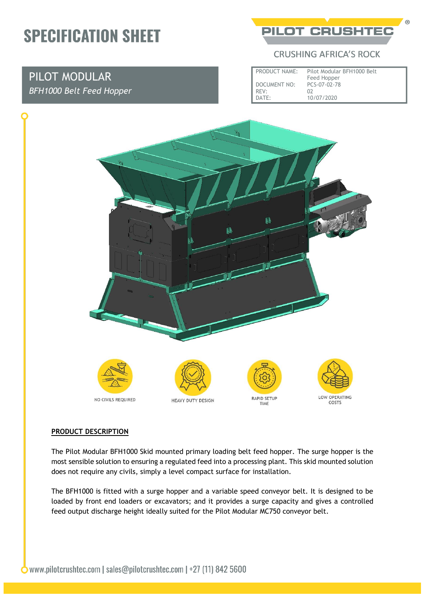## **SPECIFICATION SHEET**

### PILOT MODULAR *BFH1000 Belt Feed Hopper*

**PILOT CRUSHTED** 

#### **CRUSHING AFRICA'S ROCK**

| PRODUCT NAME:       | Pilot Modular BFH1000 Belt<br>Feed Hopper |
|---------------------|-------------------------------------------|
| <b>DOCUMENT NO:</b> | PCS-07-02-78                              |
| RFV:                | በን                                        |
| DATF:               | 10/07/2020                                |



#### **PRODUCT DESCRIPTION**

The Pilot Modular BFH1000 Skid mounted primary loading belt feed hopper. The surge hopper is the most sensible solution to ensuring a regulated feed into a processing plant. This skid mounted solution does not require any civils, simply a level compact surface for installation.

The BFH1000 is fitted with a surge hopper and a variable speed conveyor belt. It is designed to be loaded by front end loaders or excavators; and it provides a surge capacity and gives a controlled feed output discharge height ideally suited for the Pilot Modular MC750 conveyor belt.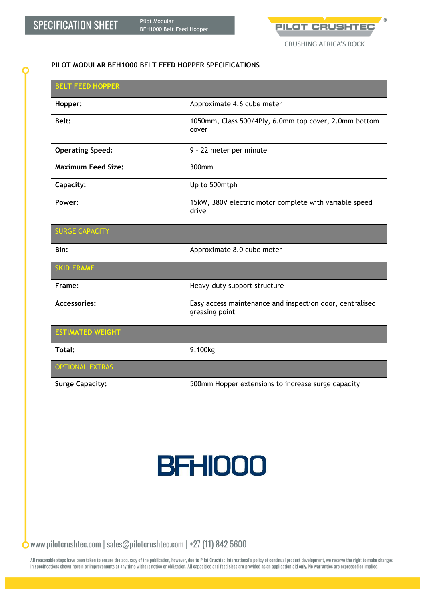

**CRUSHING AFRICA'S ROCK** 

#### **PILOT MODULAR BFH1000 BELT FEED HOPPER SPECIFICATIONS**

| <b>BELT FEED HOPPER</b>   |                                                                            |
|---------------------------|----------------------------------------------------------------------------|
| Hopper:                   | Approximate 4.6 cube meter                                                 |
| Belt:                     | 1050mm, Class 500/4Ply, 6.0mm top cover, 2.0mm bottom<br>cover             |
| <b>Operating Speed:</b>   | 9 - 22 meter per minute                                                    |
| <b>Maximum Feed Size:</b> | 300mm                                                                      |
| Capacity:                 | Up to 500mtph                                                              |
| Power:                    | 15kW, 380V electric motor complete with variable speed<br>drive            |
| <b>SURGE CAPACITY</b>     |                                                                            |
| Bin:                      | Approximate 8.0 cube meter                                                 |
| <b>SKID FRAME</b>         |                                                                            |
| Frame:                    | Heavy-duty support structure                                               |
| <b>Accessories:</b>       | Easy access maintenance and inspection door, centralised<br>greasing point |
| <b>ESTIMATED WEIGHT</b>   |                                                                            |
| Total:                    | 9,100kg                                                                    |
| <b>OPTIONAL EXTRAS</b>    |                                                                            |
| <b>Surge Capacity:</b>    | 500mm Hopper extensions to increase surge capacity                         |

# **BFH000**

 $\bullet$  www.pilotcrushtec.com | sales@pilotcrushtec.com | +27 (11) 842 5600

All reasonable steps have been taken to ensure the accuracy of the publication, however, due to Pilot Crushtec International's policy of continual product development, we reserve the right to make changes in specifications shown herein or improvements at any time without notice or obligation. All capacities and feed sizes are provided as an application aid only. No warranties are expressed or implied.